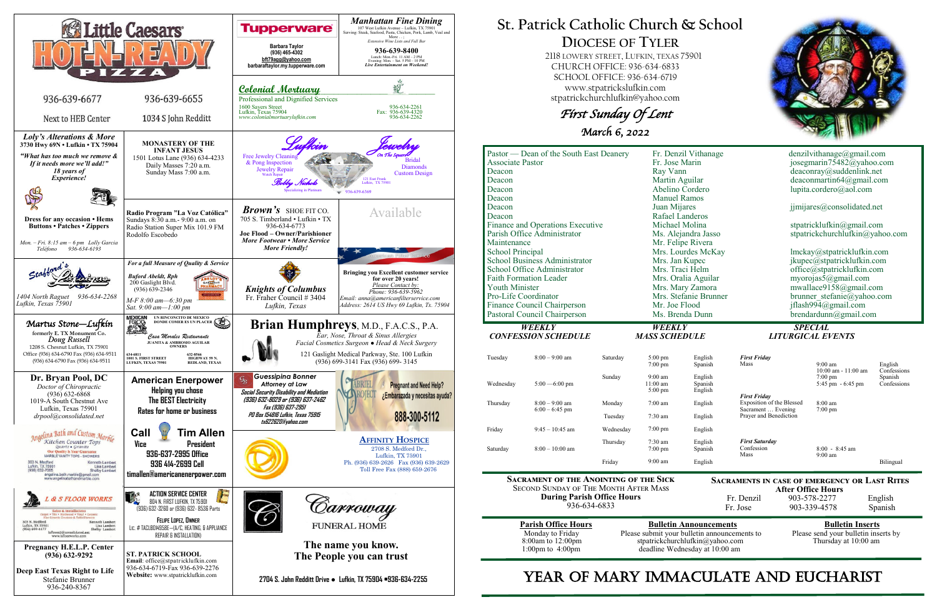

# **St. Patrick Catholic Church & School DIOCESE OF TYLER**

 2118 LOWERY STREET, LUFKIN, TEXAS 75901 CHURCH OFFICE: 936-634-6833 SCHOOL OFFICE: 936-634-6719 www.stpatrickslufkin.com stpatrickchurchlufkin@yahoo.com

First Sunday Of Lent

March 6, 2022

| Pastor — Dean of the South East Deanery<br><b>Associate Pastor</b><br>Deacon<br>Deacon<br>Deacon<br>Deacon    |                                                                              | Fr. Denzil Vithanage<br>Fr. Jose Marin<br>Ray Vann<br>Martin Aguilar<br>Abelino Cordero<br><b>Manuel Ramos</b> |                                                                                 | denzilvithanage@gmail.com<br>josegmarin75482@yahoo.com<br>deaconray@suddenlink.net<br>deaconmartin64@gmail.com<br>lupita.cordero@aol.com |                                          |                        |
|---------------------------------------------------------------------------------------------------------------|------------------------------------------------------------------------------|----------------------------------------------------------------------------------------------------------------|---------------------------------------------------------------------------------|------------------------------------------------------------------------------------------------------------------------------------------|------------------------------------------|------------------------|
| Deacon<br>Deacon<br>Finance and Operations Executive                                                          | Juan Mijares<br>Rafael Landeros<br>Michael Molina                            |                                                                                                                | jjmijares@consolidated.net<br>stpatricklufkin@gmail.com                         |                                                                                                                                          |                                          |                        |
| Parish Office Administrator<br>Maintenance<br><b>School Principal</b><br><b>School Business Administrator</b> | Ms. Alejandra Jasso<br>Mr. Felipe Rivera<br>Mrs. Lourdes McKay               |                                                                                                                | stpatrickchurchlufkin@yahoo.com<br>lmckay@stpatricklufkin.com                   |                                                                                                                                          |                                          |                        |
| School Office Administrator<br><b>Faith Formation Leader</b><br><b>Youth Minister</b>                         | Mrs. Jan Kupec<br>Mrs. Traci Helm<br>Mrs. Oralia Aguilar<br>Mrs. Mary Zamora |                                                                                                                | jkupec@stpatricklufkin.com<br>office@stpatricklufkin.com<br>myorojas5@gmail.com |                                                                                                                                          |                                          |                        |
| Pro-Life Coordinator<br>Finance Council Chairperson<br>Pastoral Council Chairperson                           |                                                                              | Mrs. Stefanie Brunner<br>Mr. Joe Flood<br>Ms. Brenda Dunn                                                      |                                                                                 | mwallace9158@gmail.com<br>brunner stefanie@yahoo.com<br>jflash994@gmail.com<br>brendardunn@gmail.com                                     |                                          |                        |
| <b>WEEKLY</b><br><b>CONFESSION SCHEDULE</b>                                                                   |                                                                              | <b>WEEKLY</b><br><b>MASS SCHEDULE</b>                                                                          |                                                                                 | <b>SPECIAL</b><br><b>LITURGICAL EVENTS</b>                                                                                               |                                          |                        |
| $8:00 - 9:00$ am<br>Tuesday                                                                                   | Saturday                                                                     | $5:00 \text{ pm}$<br>7:00 pm                                                                                   | English<br>Spanish                                                              | <b>First Friday</b><br>Mass                                                                                                              | $9:00 \text{ am}$<br>10:00 am - 11:00 am | English<br>Confessions |
| Wednesday<br>$5:00 - 6:00$ pm                                                                                 | Sunday                                                                       | $9:00$ am<br>$11:00 \text{ am}$<br>$5:00 \text{ pm}$                                                           | English<br>Spanish<br>English                                                   | <b>First Friday</b>                                                                                                                      | $7:00 \text{ pm}$<br>5:45 pm - 6:45 pm   | Spanish<br>Confessions |
| $8:00 - 9:00$ am<br>Thursday<br>$6:00 - 6:45$ pm                                                              | Monday<br>Tuesday                                                            | $7:00$ am<br>$7:30$ am                                                                                         | English<br>English                                                              | Exposition of the Blessed<br>Sacrament  Evening<br>Prayer and Benediction                                                                | 8:00 am<br>$7:00$ pm                     |                        |
| $9:45 - 10:45$ am<br>Friday                                                                                   | Wednesday                                                                    | $7:00 \text{ pm}$                                                                                              | English                                                                         |                                                                                                                                          |                                          |                        |
| $8:00-10:00$ am<br>Saturday                                                                                   | Thursday<br>Friday                                                           | $7:30$ am<br>$7:00 \text{ pm}$<br>$9:00$ am                                                                    | English<br>Spanish<br>English                                                   | <b>First Saturday</b><br>Confession<br>Mass                                                                                              | $8:00 - 8:45$ am<br>$9:00 \text{ am}$    | Bilingual              |

**Sacrament of the Anointing of the Sick** Second Sunday of The Month After Mass **During Parish Office Hours**  936-634-6833

**Parish Office Hours Bulletin Announcements**<br>Please submit your bulletin announcements to Please send your bulletin inserts by Please submit your bulletin announcements to stpatrickchurchlufkin@yahoo.com Thursday at 10:00 am deadline Wednesday at 10:00 am

# YEAR OF MARY IMMACULATE AND EUCHARIST



**Sacraments in case of emergency or Last Rites** 

**After Office Hours**<br>Fr. Denzil 903-578-2277 903-578-2277 English<br>903-339-4578 Spanish Fr. Jose  $903-339-4578$